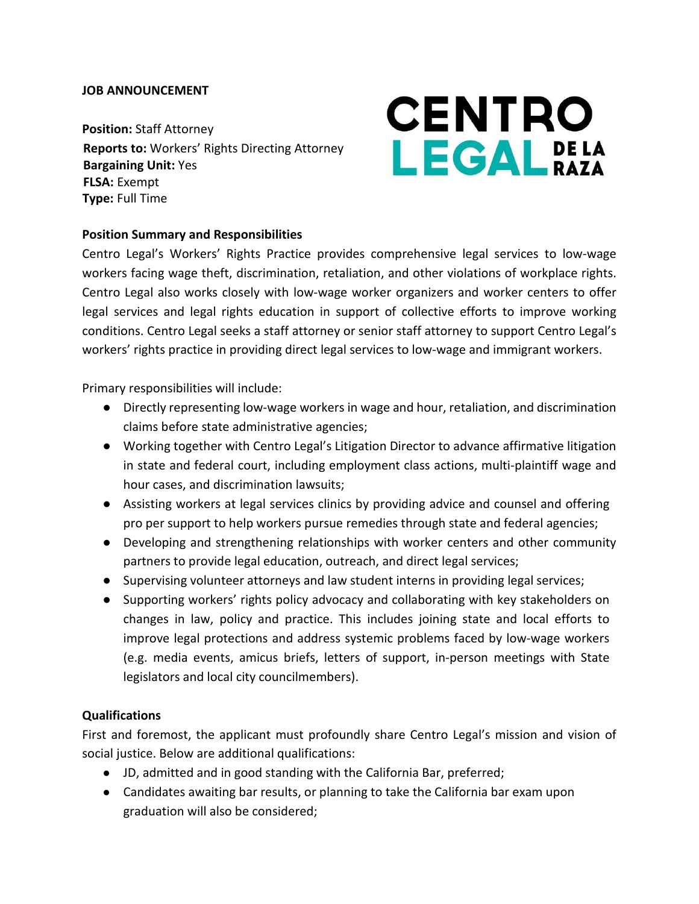#### **JOB ANNOUNCEMENT**

**Position:** Staff Attorney **Reports to:** Workers' Rights Directing Attorney **Bargaining Unit:** Yes **FLSA:** Exempt **Type:** Full Time

# **CENTRO LEGAL** BAZA

### **Position Summary and Responsibilities**

Centro Legal's Workers' Rights Practice provides comprehensive legal services to low-wage workers facing wage theft, discrimination, retaliation, and other violations of workplace rights. Centro Legal also works closely with low-wage worker organizers and worker centers to offer legal services and legal rights education in support of collective efforts to improve working conditions. Centro Legal seeks a staff attorney or senior staff attorney to support Centro Legal's workers' rights practice in providing direct legal services to low-wage and immigrant workers.

Primary responsibilities will include:

- Directly representing low-wage workers in wage and hour, retaliation, and discrimination claims before state administrative agencies;
- Working together with Centro Legal's Litigation Director to advance affirmative litigation in state and federal court, including employment class actions, multi-plaintiff wage and hour cases, and discrimination lawsuits;
- Assisting workers at legal services clinics by providing advice and counsel and offering pro per support to help workers pursue remedies through state and federal agencies;
- Developing and strengthening relationships with worker centers and other community partners to provide legal education, outreach, and direct legal services;
- Supervising volunteer attorneys and law student interns in providing legal services;
- Supporting workers' rights policy advocacy and collaborating with key stakeholders on changes in law, policy and practice. This includes joining state and local efforts to improve legal protections and address systemic problems faced by low-wage workers (e.g. media events, amicus briefs, letters of support, in-person meetings with State legislators and local city councilmembers).

#### **Qualifications**

First and foremost, the applicant must profoundly share Centro Legal's mission and vision of social justice. Below are additional qualifications:

- JD, admitted and in good standing with the California Bar, preferred;
- Candidates awaiting bar results, or planning to take the California bar exam upon graduation will also be considered;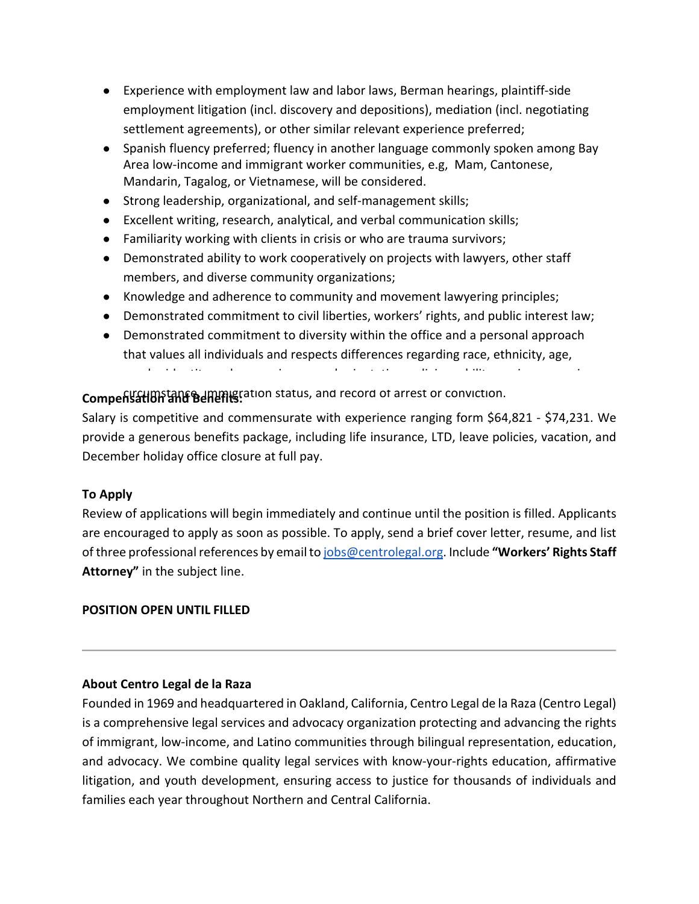- Experience with employment law and labor laws, Berman hearings, plaintiff-side employment litigation (incl. discovery and depositions), mediation (incl. negotiating settlement agreements), or other similar relevant experience preferred;
- Spanish fluency preferred; fluency in another language commonly spoken among Bay Area low-income and immigrant worker communities, e.g, Mam, Cantonese, Mandarin, Tagalog, or Vietnamese, will be considered.
- Strong leadership, organizational, and self-management skills;
- Excellent writing, research, analytical, and verbal communication skills;
- Familiarity working with clients in crisis or who are trauma survivors;
- Demonstrated ability to work cooperatively on projects with lawyers, other staff members, and diverse community organizations;
- Knowledge and adherence to community and movement lawyering principles;
- Demonstrated commitment to civil liberties, workers' rights, and public interest law;
- Demonstrated commitment to diversity within the office and a personal approach that values all individuals and respects differences regarding race, ethnicity, age, gender identity and expression, sexual orientation, religion, ability, socio-economic

**Compensation and Benefits:** ation status, and record of arrest or conviction.

Salary is competitive and commensurate with experience ranging form \$64,821 - \$74,231. We provide a generous benefits package, including life insurance, LTD, leave policies, vacation, and December holiday office closure at full pay.

# **To Apply**

Review of applications will begin immediately and continue until the position is filled. Applicants are encouraged to apply as soon as possible. To apply, send a brief cover letter, resume, and list of three professional references by email t[o jobs@centrolegal.org.](mailto:jobs@centrolegal.org) Include **"Workers' Rights Staff Attorney"** in the subject line.

# **POSITION OPEN UNTIL FILLED**

# **About Centro Legal de la Raza**

Founded in 1969 and headquartered in Oakland, California, Centro Legal de la Raza (Centro Legal) is a comprehensive legal services and advocacy organization protecting and advancing the rights of immigrant, low-income, and Latino communities through bilingual representation, education, and advocacy. We combine quality legal services with know-your-rights education, affirmative litigation, and youth development, ensuring access to justice for thousands of individuals and families each year throughout Northern and Central California.